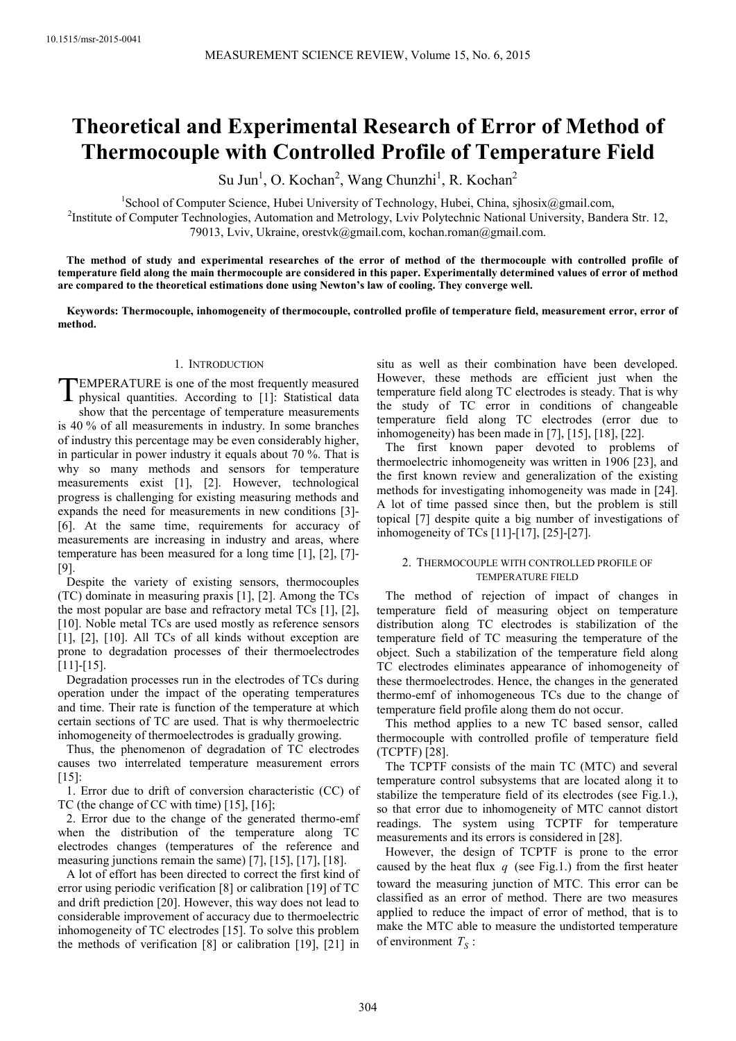# **Theoretical and Experimental Research of Error of Method of Thermocouple with Controlled Profile of Temperature Field**

Su Jun<sup>1</sup>, O. Kochan<sup>2</sup>, Wang Chunzhi<sup>1</sup>, R. Kochan<sup>2</sup>

<sup>1</sup>School of Computer Science, Hubei University of Technology, Hubei, China, sjhosix@gmail.com, <sup>2</sup>Institute of Computer Technologies, Automation and Metrology, Lviv Polytechnic National University, Bandera Str. 12, 79013, Lviv, Ukraine, orestvk@gmail.com, kochan.roman@gmail.com.

**The method of study and experimental researches of the error of method of the thermocouple with controlled profile of temperature field along the main thermocouple are considered in this paper. Experimentally determined values of error of method are compared to the theoretical estimations done using Newton's law of cooling. They converge well.** 

**Keywords: Thermocouple, inhomogeneity of thermocouple, controlled profile of temperature field, measurement error, error of method.** 

### 1. INTRODUCTION

EMPERATURE is one of the most frequently measured physical quantities. According to [1]: Statistical data show that the percentage of temperature measurements is 40 % of all measurements in industry. In some branches of industry this percentage may be even considerably higher, in particular in power industry it equals about 70 %. That is why so many methods and sensors for temperature measurements exist [1], [2]. However, technological progress is challenging for existing measuring methods and expands the need for measurements in new conditions [3]- [6]. At the same time, requirements for accuracy of measurements are increasing in industry and areas, where temperature has been measured for a long time [1], [2], [7]- [9]. T

Despite the variety of existing sensors, thermocouples (TC) dominate in measuring praxis [1], [2]. Among the TCs the most popular are base and refractory metal TCs [1], [2], [10]. Noble metal TCs are used mostly as reference sensors [1], [2], [10]. All TCs of all kinds without exception are prone to degradation processes of their thermoelectrodes [11]-[15].

Degradation processes run in the electrodes of TCs during operation under the impact of the operating temperatures and time. Their rate is function of the temperature at which certain sections of TC are used. That is why thermoelectric inhomogeneity of thermoelectrodes is gradually growing.

Thus, the phenomenon of degradation of TC electrodes causes two interrelated temperature measurement errors [15]:

1. Error due to drift of conversion characteristic (CC) of TC (the change of CC with time) [15], [16];

2. Error due to the change of the generated thermo-emf when the distribution of the temperature along TC electrodes changes (temperatures of the reference and measuring junctions remain the same) [7], [15], [17], [18].

A lot of effort has been directed to correct the first kind of error using periodic verification [8] or calibration [19] of TC and drift prediction [20]. However, this way does not lead to considerable improvement of accuracy due to thermoelectric inhomogeneity of TC electrodes [15]. To solve this problem the methods of verification [8] or calibration [19], [21] in

situ as well as their combination have been developed. However, these methods are efficient just when the temperature field along TC electrodes is steady. That is why the study of TC error in conditions of changeable temperature field along TC electrodes (error due to inhomogeneity) has been made in [7], [15], [18], [22].

The first known paper devoted to problems of thermoelectric inhomogeneity was written in 1906 [23], and the first known review and generalization of the existing methods for investigating inhomogeneity was made in [24]. A lot of time passed since then, but the problem is still topical [7] despite quite a big number of investigations of inhomogeneity of TCs [11]-[17], [25]-[27].

## 2. THERMOCOUPLE WITH CONTROLLED PROFILE OF TEMPERATURE FIELD

The method of rejection of impact of changes in temperature field of measuring object on temperature distribution along TC electrodes is stabilization of the temperature field of TC measuring the temperature of the object. Such a stabilization of the temperature field along TC electrodes eliminates appearance of inhomogeneity of these thermoelectrodes. Hence, the changes in the generated thermo-emf of inhomogeneous TCs due to the change of temperature field profile along them do not occur.

This method applies to a new TC based sensor, called thermocouple with controlled profile of temperature field (TCPTF) [28].

The TCPTF consists of the main TC (MTC) and several temperature control subsystems that are located along it to stabilize the temperature field of its electrodes (see Fig.1.), so that error due to inhomogeneity of MTC cannot distort readings. The system using TCPTF for temperature measurements and its errors is considered in [28].

However, the design of TCPTF is prone to the error caused by the heat flux *q* (see Fig.1.) from the first heater toward the measuring junction of MTC. This error can be classified as an error of method. There are two measures applied to reduce the impact of error of method, that is to make the MTC able to measure the undistorted temperature of environment  $T_S$ :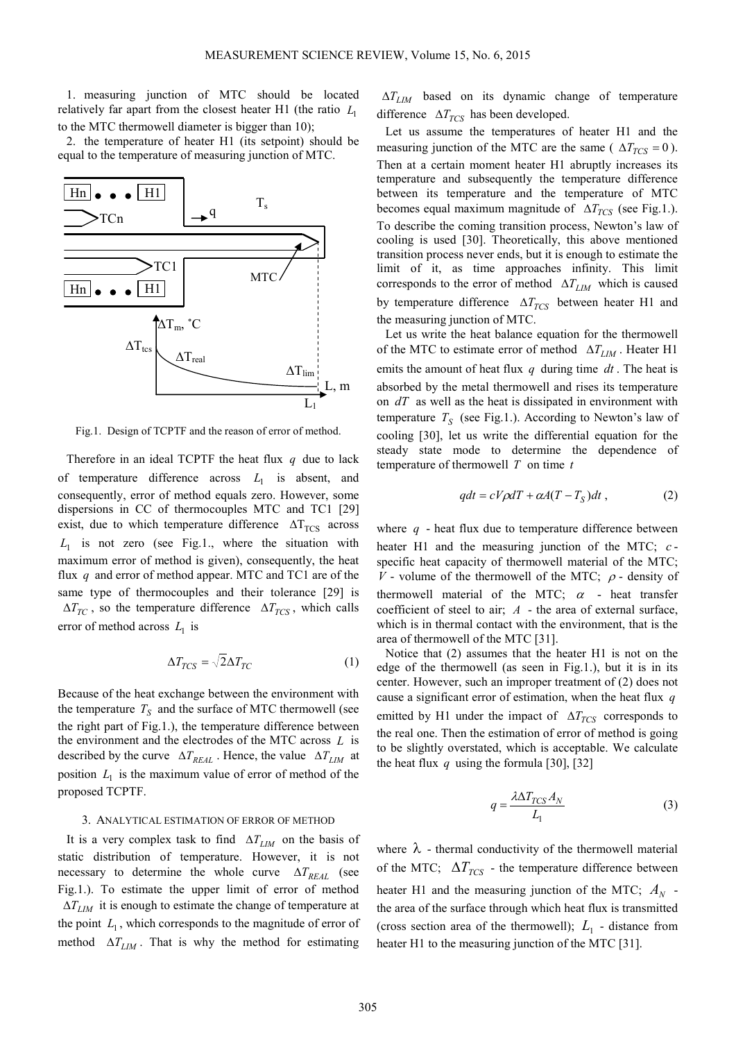1. measuring junction of MTC should be located relatively far apart from the closest heater H1 (the ratio *L*<sup>1</sup> to the MTC thermowell diameter is bigger than 10);

2. the temperature of heater H1 (its setpoint) should be equal to the temperature of measuring junction of MTC.



Fig.1. Design of TCPTF and the reason of error of method.

Therefore in an ideal TCPTF the heat flux *q* due to lack of temperature difference across  $L_1$  is absent, and consequently, error of method equals zero. However, some dispersions in CC of thermocouples MTC and TC1 [29] exist, due to which temperature difference  $\Delta T_{TCS}$  across  $L_1$  is not zero (see Fig.1., where the situation with maximum error of method is given), consequently, the heat flux *q* and error of method appear. MTC and TC1 are of the same type of thermocouples and their tolerance [29] is  $\Delta T_{TC}$ , so the temperature difference  $\Delta T_{TCS}$ , which calls error of method across  $L_1$  is

$$
\Delta T_{TCS} = \sqrt{2\Delta T_{TC}} \tag{1}
$$

Because of the heat exchange between the environment with the temperature  $T<sub>S</sub>$  and the surface of MTC thermowell (see the right part of Fig.1.), the temperature difference between the environment and the electrodes of the MTC across *L* is described by the curve  $\Delta T_{REAL}$ . Hence, the value  $\Delta T_{LIM}$  at position  $L_1$  is the maximum value of error of method of the proposed TCPTF.

# 3. ANALYTICAL ESTIMATION OF ERROR OF METHOD

It is a very complex task to find ∆*TLIM* on the basis of static distribution of temperature. However, it is not necessary to determine the whole curve  $\Delta T_{REAL}$  (see Fig.1.). To estimate the upper limit of error of method ∆*TLIM* it is enough to estimate the change of temperature at the point  $L_1$ , which corresponds to the magnitude of error of method  $\Delta T_{LM}$ . That is why the method for estimating

∆*TLIM* based on its dynamic change of temperature difference  $\Delta T_{TCS}$  has been developed.

Let us assume the temperatures of heater H1 and the measuring junction of the MTC are the same ( $\Delta T_{TCS} = 0$ ). Then at a certain moment heater H1 abruptly increases its temperature and subsequently the temperature difference between its temperature and the temperature of MTC becomes equal maximum magnitude of ∆*TTCS* (see Fig.1.). To describe the coming transition process, Newton's law of cooling is used [30]. Theoretically, this above mentioned transition process never ends, but it is enough to estimate the limit of it, as time approaches infinity. This limit corresponds to the error of method ∆*TLIM* which is caused by temperature difference ∆*TTCS* between heater H1 and the measuring junction of MTC.

Let us write the heat balance equation for the thermowell of the MTC to estimate error of method ∆*TLIM* . Heater H1 emits the amount of heat flux *q* during time *dt* . The heat is absorbed by the metal thermowell and rises its temperature on *dT* as well as the heat is dissipated in environment with temperature  $T<sub>S</sub>$  (see Fig.1.). According to Newton's law of cooling [30], let us write the differential equation for the steady state mode to determine the dependence of temperature of thermowell *T* on time *t*

$$
qdt = cV\rho dT + \alpha A(T - T_S)dt , \qquad (2)
$$

where  $q$  - heat flux due to temperature difference between heater H1 and the measuring junction of the MTC; *c* specific heat capacity of thermowell material of the MTC; *V* - volume of the thermowell of the MTC;  $\rho$  - density of thermowell material of the MTC;  $\alpha$  - heat transfer coefficient of steel to air; *A* - the area of external surface, which is in thermal contact with the environment, that is the area of thermowell of the MTC [31].

Notice that (2) assumes that the heater H1 is not on the edge of the thermowell (as seen in Fig.1.), but it is in its center. However, such an improper treatment of (2) does not cause a significant error of estimation, when the heat flux *q* emitted by H1 under the impact of Δ*T*<sub>*TCS*</sub> corresponds to the real one. Then the estimation of error of method is going to be slightly overstated, which is acceptable. We calculate the heat flux  $q$  using the formula [30], [32]

$$
q = \frac{\lambda \Delta T_{TCS} A_N}{L_1} \tag{3}
$$

where  $\lambda$  - thermal conductivity of the thermowell material of the MTC;  $\Delta T_{TCS}$  - the temperature difference between heater H1 and the measuring junction of the MTC;  $A_N$  the area of the surface through which heat flux is transmitted (cross section area of the thermowell);  $L_1$  - distance from heater H1 to the measuring junction of the MTC [31].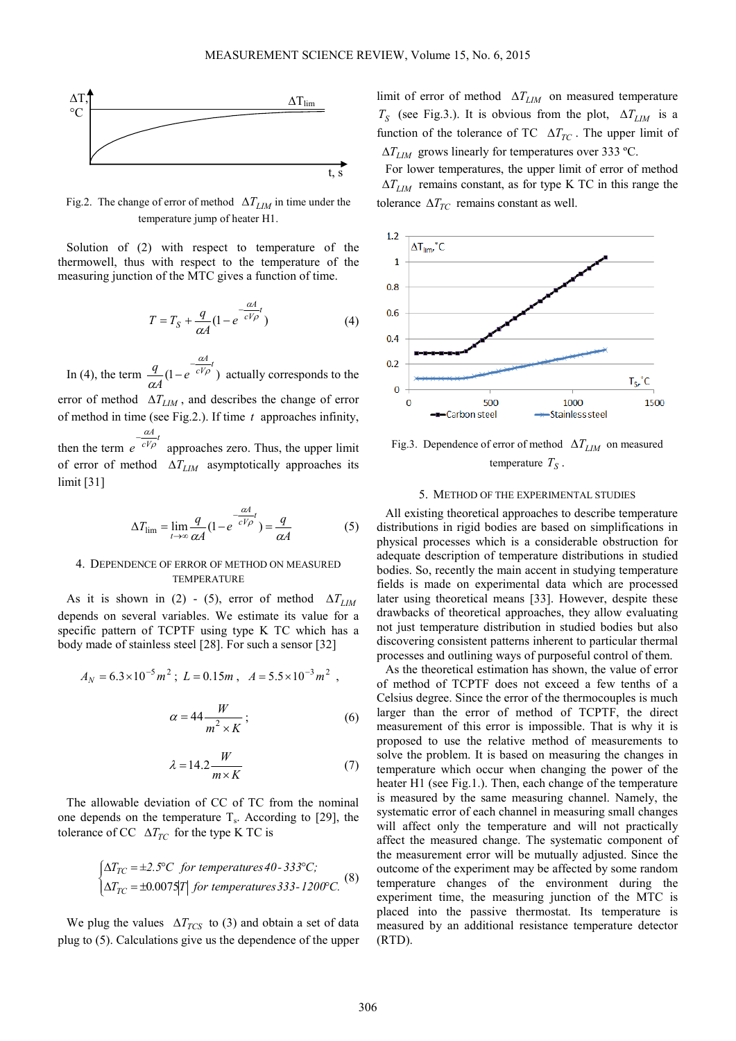

Fig.2. The change of error of method ∆*TLIM* in time under the temperature jump of heater H1.

Solution of (2) with respect to temperature of the thermowell, thus with respect to the temperature of the measuring junction of the MTC gives a function of time.

$$
T = T_S + \frac{q}{\alpha A} (1 - e^{-\frac{\alpha A}{cV\rho}t})
$$
\n(4)

In (4), the term  $\frac{q}{f(1-e^{-cV\rho})}$ *A*  $\frac{d}{d}$ (1-e *q*  $\frac{a}{cV\rho}$ α  $-e^{\frac{ar}{cV\rho}}$  actually corresponds to the error of method ∆*TLIM* , and describes the change of error of method in time (see Fig.2.). If time *t* approaches infinity, then the term  $e^{-\frac{ar}{cV\rho}t}$ *A e* ρ <sup>α</sup> approaches zero. Thus, the upper limit of error of method ∆*TLIM* asymptotically approaches its limit [31]

$$
\Delta T_{\rm lim} = \lim_{t \to \infty} \frac{q}{\alpha A} (1 - e^{-\frac{\alpha A}{cV\rho}t}) = \frac{q}{\alpha A} \tag{5}
$$

## 4. DEPENDENCE OF ERROR OF METHOD ON MEASURED **TEMPERATURE**

As it is shown in (2) - (5), error of method  $\Delta T_{LM}$ depends on several variables. We estimate its value for a specific pattern of TCPTF using type K TC which has a body made of stainless steel [28]. For such a sensor [32]

$$
A_N = 6.3 \times 10^{-5} m^2 \; ; \; L = 0.15m \; , \; A = 5.5 \times 10^{-3} m^2 \; ,
$$

$$
\alpha = 44 \frac{W}{m^2 \times K};\tag{6}
$$

$$
\lambda = 14.2 \frac{W}{m \times K} \tag{7}
$$

The allowable deviation of CC of TC from the nominal one depends on the temperature  $T_s$ . According to [29], the tolerance of CC  $\Delta T_{TC}$  for the type K TC is

$$
\begin{cases} \Delta T_{TC} = \pm 2.5^{\circ}\text{C} \ \ \text{for temperatures } 40 - 333^{\circ}\text{C};\\ \Delta T_{TC} = \pm 0.0075|T| \ \ \text{for temperatures } 333 - 1200^{\circ}\text{C}. \end{cases} \tag{8}
$$

We plug the values  $\Delta T_{TCS}$  to (3) and obtain a set of data plug to (5). Calculations give us the dependence of the upper limit of error of method ∆*TLIM* on measured temperature  $T_S$  (see Fig.3.). It is obvious from the plot,  $\Delta T_{LIM}$  is a function of the tolerance of TC  $\Delta T_{TC}$ . The upper limit of ∆*TLIM* grows linearly for temperatures over 333 ºC.

For lower temperatures, the upper limit of error of method  $\Delta T$ <sub>*LIM*</sub> remains constant, as for type K TC in this range the tolerance  $\Delta T_{TC}$  remains constant as well.



Fig.3. Dependence of error of method ∆*TLIM* on measured temperature *T<sup>S</sup>* .

# 5. METHOD OF THE EXPERIMENTAL STUDIES

All existing theoretical approaches to describe temperature distributions in rigid bodies are based on simplifications in physical processes which is a considerable obstruction for adequate description of temperature distributions in studied bodies. So, recently the main accent in studying temperature fields is made on experimental data which are processed later using theoretical means [33]. However, despite these drawbacks of theoretical approaches, they allow evaluating not just temperature distribution in studied bodies but also discovering consistent patterns inherent to particular thermal processes and outlining ways of purposeful control of them.

As the theoretical estimation has shown, the value of error of method of TCPTF does not exceed a few tenths of a Celsius degree. Since the error of the thermocouples is much larger than the error of method of TCPTF, the direct measurement of this error is impossible. That is why it is proposed to use the relative method of measurements to solve the problem. It is based on measuring the changes in temperature which occur when changing the power of the heater H1 (see Fig.1.). Then, each change of the temperature is measured by the same measuring channel. Namely, the systematic error of each channel in measuring small changes will affect only the temperature and will not practically affect the measured change. The systematic component of the measurement error will be mutually adjusted. Since the outcome of the experiment may be affected by some random temperature changes of the environment during the experiment time, the measuring junction of the MTC is placed into the passive thermostat. Its temperature is measured by an additional resistance temperature detector (RTD).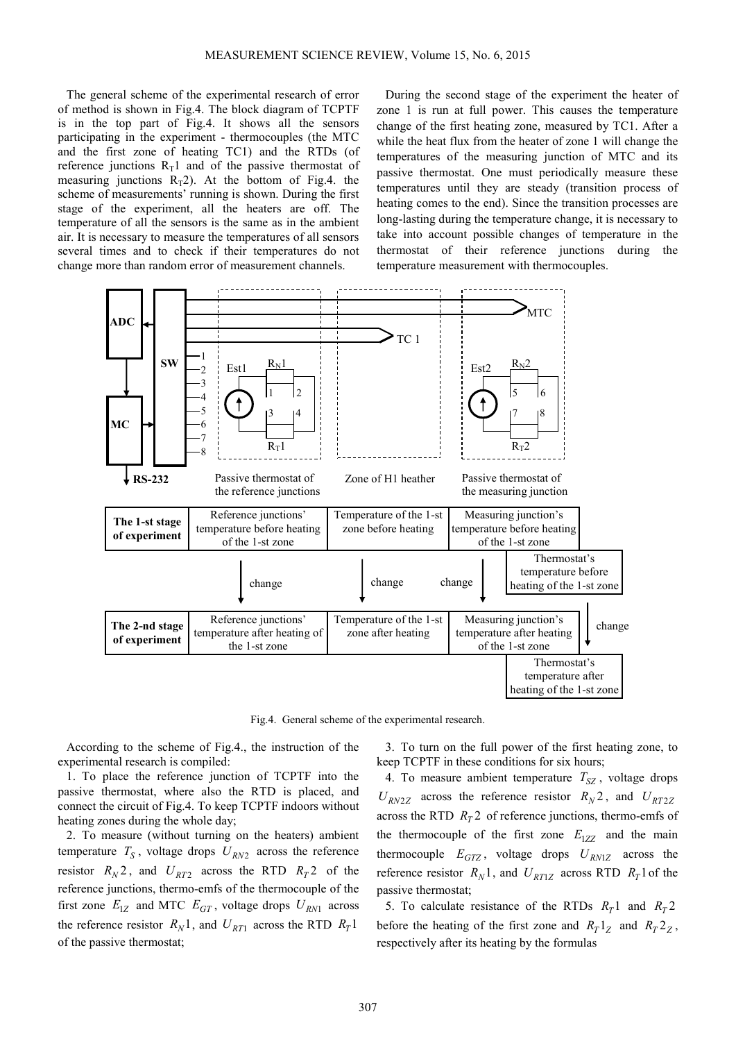The general scheme of the experimental research of error of method is shown in Fig.4. The block diagram of TCPTF is in the top part of Fig.4. It shows all the sensors participating in the experiment - thermocouples (the MTC and the first zone of heating TC1) and the RTDs (of reference junctions  $R_T1$  and of the passive thermostat of measuring junctions  $R_T2$ ). At the bottom of Fig.4. the scheme of measurements' running is shown. During the first stage of the experiment, all the heaters are off. The temperature of all the sensors is the same as in the ambient air. It is necessary to measure the temperatures of all sensors several times and to check if their temperatures do not change more than random error of measurement channels.

During the second stage of the experiment the heater of zone 1 is run at full power. This causes the temperature change of the first heating zone, measured by TC1. After a while the heat flux from the heater of zone 1 will change the temperatures of the measuring junction of MTC and its passive thermostat. One must periodically measure these temperatures until they are steady (transition process of heating comes to the end). Since the transition processes are long-lasting during the temperature change, it is necessary to take into account possible changes of temperature in the thermostat of their reference junctions during the temperature measurement with thermocouples.



Fig.4. General scheme of the experimental research.

According to the scheme of Fig.4., the instruction of the experimental research is compiled:

1. To place the reference junction of TCPTF into the passive thermostat, where also the RTD is placed, and connect the circuit of Fig.4. To keep TCPTF indoors without heating zones during the whole day;

2. To measure (without turning on the heaters) ambient temperature  $T_S$ , voltage drops  $U_{RN2}$  across the reference resistor  $R_N$ 2, and  $U_{RT2}$  across the RTD  $R_T$ 2 of the reference junctions, thermo-emfs of the thermocouple of the first zone  $E_{1Z}$  and MTC  $E_{GT}$ , voltage drops  $U_{RN1}$  across the reference resistor  $R_N$ <sup>1</sup>, and  $U_{RT1}$  across the RTD  $R_T$ <sup>1</sup> of the passive thermostat;

3. To turn on the full power of the first heating zone, to keep TCPTF in these conditions for six hours;

4. To measure ambient temperature  $T_{SZ}$ , voltage drops  $U_{RN2Z}$  across the reference resistor  $R_N^2$ , and  $U_{RT2Z}$ across the RTD  $R<sub>T</sub>$ <sup>2</sup> of reference junctions, thermo-emfs of the thermocouple of the first zone  $E_{1ZZ}$  and the main thermocouple  $E_{GTZ}$ , voltage drops  $U_{RN1Z}$  across the reference resistor  $R_N$ 1, and  $U_{RT1Z}$  across RTD  $R_T$ 1 of the passive thermostat;

5. To calculate resistance of the RTDs  $R_T 1$  and  $R_T 2$ before the heating of the first zone and  $R_T 1_Z$  and  $R_T 2_Z$ , respectively after its heating by the formulas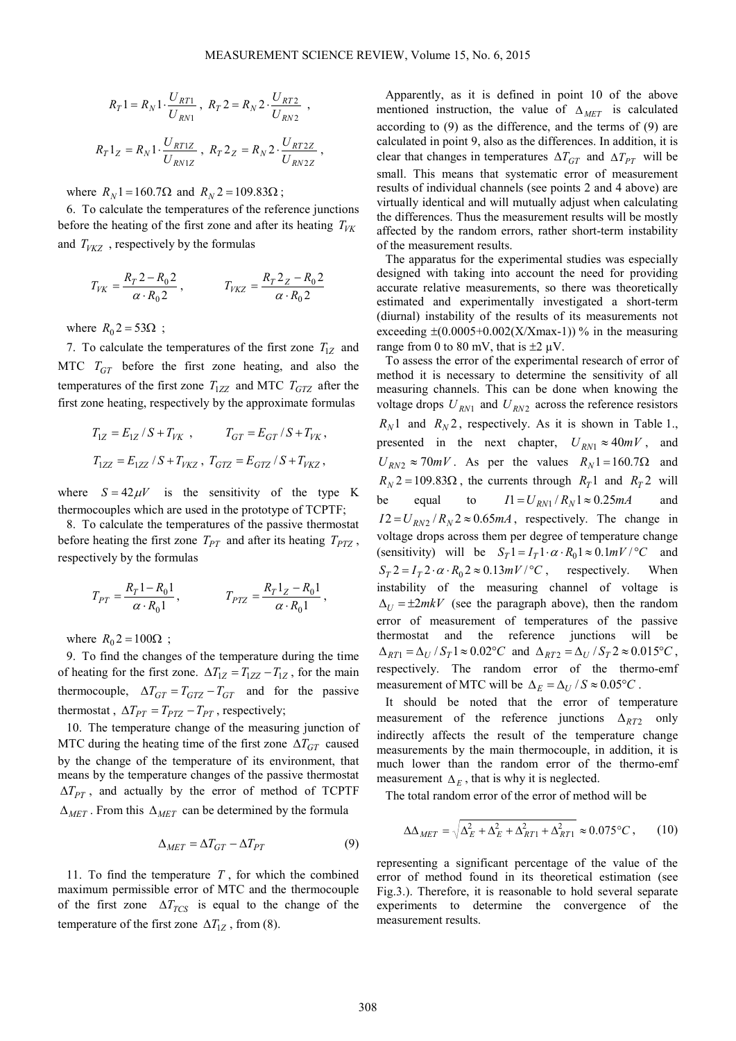$$
R_T 1 = R_N 1 \cdot \frac{U_{RT1}}{U_{RN1}}, R_T 2 = R_N 2 \cdot \frac{U_{RT2}}{U_{RN2}},
$$
  

$$
R_T 1_Z = R_N 1 \cdot \frac{U_{RT1Z}}{U_{RN1Z}}, R_T 2_Z = R_N 2 \cdot \frac{U_{RT2Z}}{U_{RN2Z}},
$$

where  $R_N$ 1 = 160.7Ω and  $R_N$ 2 = 109.83Ω ;

6. To calculate the temperatures of the reference junctions before the heating of the first zone and after its heating  $T_{VK}$ and  $T<sub>VKZ</sub>$ , respectively by the formulas

$$
T_{VK} = \frac{R_T 2 - R_0 2}{\alpha \cdot R_0 2}, \qquad T_{VKZ} = \frac{R_T 2_Z - R_0 2}{\alpha \cdot R_0 2}
$$

where  $R_0 = 53\Omega$ ;

7. To calculate the temperatures of the first zone  $T_{1Z}$  and MTC  $T_{GT}$  before the first zone heating, and also the temperatures of the first zone  $T_{1ZZ}$  and MTC  $T_{GTZ}$  after the first zone heating, respectively by the approximate formulas

$$
\begin{array}{l} T_{1Z}=E_{1Z}\,/ \,S+T_{VK} \ , \qquad \quad T_{GT}=E_{GT}\,/ \,S+T_{VK} \, , \\[1ex] T_{1ZZ}=E_{1ZZ}\,/ \,S+T_{VKZ} \ , \ T_{GTZ}=E_{GTZ}\,/ \,S+T_{VKZ} \, , \end{array}
$$

where  $S = 42 \mu V$  is the sensitivity of the type K thermocouples which are used in the prototype of TCPTF;

8. To calculate the temperatures of the passive thermostat before heating the first zone  $T_{PT}$  and after its heating  $T_{PTZ}$ , respectively by the formulas

$$
T_{PT} = \frac{R_T 1 - R_0 1}{\alpha \cdot R_0 1}, \qquad T_{PTZ} = \frac{R_T 1_Z - R_0 1}{\alpha \cdot R_0 1},
$$

where  $R_0$ 2 = 100 $\Omega$ ;

9. To find the changes of the temperature during the time of heating for the first zone.  $\Delta T_{1Z} = T_{1ZZ} - T_{1Z}$ , for the main thermocouple,  $\Delta T_{GT} = T_{GTZ} - T_{GT}$  and for the passive thermostat,  $\Delta T_{PT} = T_{PTZ} - T_{PT}$ , respectively;

10. The temperature change of the measuring junction of MTC during the heating time of the first zone  $\Delta T_{GT}$  caused by the change of the temperature of its environment, that means by the temperature changes of the passive thermostat  $\Delta T_{PT}$ , and actually by the error of method of TCPTF ∆*MET* . From this ∆*MET* can be determined by the formula

$$
\Delta_{MET} = \Delta T_{GT} - \Delta T_{PT} \tag{9}
$$

11. To find the temperature *T* , for which the combined maximum permissible error of MTC and the thermocouple of the first zone ∆*TTCS* is equal to the change of the temperature of the first zone  $\Delta T_{1Z}$ , from (8).

Apparently, as it is defined in point 10 of the above mentioned instruction, the value of  $\Delta_{MET}$  is calculated according to (9) as the difference, and the terms of (9) are calculated in point 9, also as the differences. In addition, it is clear that changes in temperatures  $\Delta T_{GT}$  and  $\Delta T_{PT}$  will be small. This means that systematic error of measurement results of individual channels (see points 2 and 4 above) are virtually identical and will mutually adjust when calculating the differences. Thus the measurement results will be mostly affected by the random errors, rather short-term instability of the measurement results.

The apparatus for the experimental studies was especially designed with taking into account the need for providing accurate relative measurements, so there was theoretically estimated and experimentally investigated a short-term (diurnal) instability of the results of its measurements not exceeding  $\pm (0.0005+0.002(X/Xmax-1))$ % in the measuring range from 0 to 80 mV, that is  $\pm 2 \mu V$ .

To assess the error of the experimental research of error of method it is necessary to determine the sensitivity of all measuring channels. This can be done when knowing the voltage drops  $U_{RN1}$  and  $U_{RN2}$  across the reference resistors  $R_N$ <sup>1</sup> and  $R_N$ <sup>2</sup>, respectively. As it is shown in Table 1., presented in the next chapter,  $U_{RN1} \approx 40mV$ , and  $U_{RN2} \approx 70mV$ . As per the values  $R_N$ 1 = 160.7 $\Omega$  and  $R_N$ 2 = 109.83 $\Omega$ , the currents through  $R_T$ 1 and  $R_T$ 2 will be equal to  $I1 = U_{RN1} / R_N 1 \approx 0.25 mA$  and  $I2 = U_{RN2} / R_N 2 \approx 0.65 mA$ , respectively. The change in voltage drops across them per degree of temperature change (sensitivity) will be  $S_T 1 = I_T 1 \cdot \alpha \cdot R_0 1 \approx 0.1 mV / \text{°C}$  and  $S_T$  2 =  $I_T$  2 ·  $\alpha$  ·  $R_0$  2 ≈ 0.13*mV* / °*C*, respectively. When instability of the measuring channel of voltage is  $\Delta_{U} = \pm 2mkV$  (see the paragraph above), then the random error of measurement of temperatures of the passive thermostat and the reference junctions will be  $\Delta_{RT1} = \Delta_U / S_T 1 \approx 0.02^{\circ}C$  and  $\Delta_{RT2} = \Delta_U / S_T 2 \approx 0.015^{\circ}C$ , respectively. The random error of the thermo-emf measurement of MTC will be  $\Delta_E = \Delta_U / S \approx 0.05^{\circ}C$ .

It should be noted that the error of temperature measurement of the reference junctions  $\Delta_{RT2}$  only indirectly affects the result of the temperature change measurements by the main thermocouple, in addition, it is much lower than the random error of the thermo-emf measurement  $\Delta_E$ , that is why it is neglected.

The total random error of the error of method will be

$$
\Delta\Delta_{MET} = \sqrt{\Delta_E^2 + \Delta_E^2 + \Delta_{RT1}^2 + \Delta_{RT1}^2} \approx 0.075 \,^{\circ}\text{C} \,,\qquad(10)
$$

representing a significant percentage of the value of the error of method found in its theoretical estimation (see Fig.3.). Therefore, it is reasonable to hold several separate experiments to determine the convergence of the measurement results.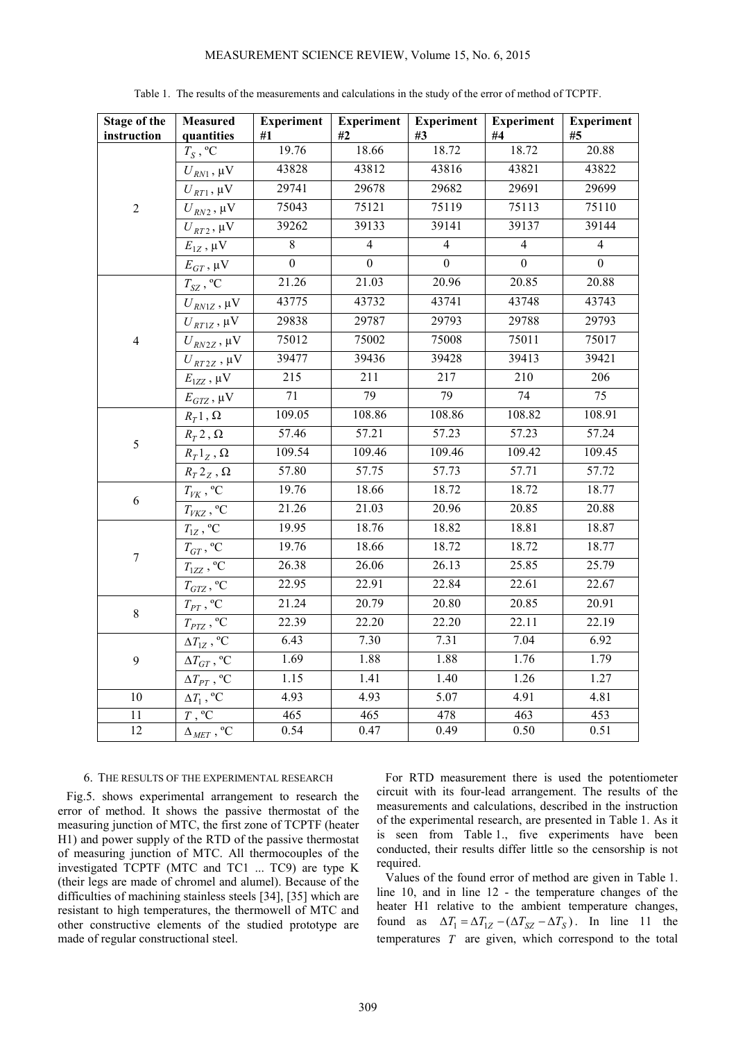## MEASUREMENT SCIENCE REVIEW, Volume 15, No. 6, 2015

| <b>Stage of the</b><br>instruction | <b>Measured</b><br>quantities                                | <b>Experiment</b><br>#1 | <b>Experiment</b><br>#2 | <b>Experiment</b><br>#3 | <b>Experiment</b><br>#4 | <b>Experiment</b><br>#5 |
|------------------------------------|--------------------------------------------------------------|-------------------------|-------------------------|-------------------------|-------------------------|-------------------------|
| $\sqrt{2}$                         | $T_S$ , °C                                                   | 19.76                   | 18.66                   | 18.72                   | 18.72                   | 20.88                   |
|                                    | $U_{\mathit{RN}1}$ , $\mu\mathrm{V}$                         | 43828                   | 43812                   | 43816                   | 43821                   | 43822                   |
|                                    | $U_{RT1}$ , $\mu$ V                                          | 29741                   | 29678                   | 29682                   | 29691                   | 29699                   |
|                                    | $U_{\mathit{RN2}}$ , $\mu\mathrm{V}$                         | 75043                   | 75121                   | 75119                   | 75113                   | 75110                   |
|                                    | $U_{\mathit{RT2}}$ , $\mu\mathrm{V}$                         | 39262                   | 39133                   | 39141                   | 39137                   | 39144                   |
|                                    | $E_{1Z}$ , $\mu\mathrm{V}$                                   | $\overline{\bf 8}$      | $\overline{4}$          | $\overline{4}$          | $\overline{4}$          | $\overline{4}$          |
|                                    | $E_{GT}$ , $\mu V$                                           | $\boldsymbol{0}$        | $\overline{0}$          | $\boldsymbol{0}$        | $\boldsymbol{0}$        | $\boldsymbol{0}$        |
| $\overline{4}$                     | $T_{\textrm{SZ}}$ , $\overline{{}^{\circ}\textrm{C}}$        | 21.26                   | 21.03                   | 20.96                   | 20.85                   | 20.88                   |
|                                    | $U_{\text{RN1Z}}$ , $\mu\mathrm{V}$                          | 43775                   | 43732                   | 43741                   | 43748                   | 43743                   |
|                                    | $U_{\mathit{RT1Z}}$ , $\mu\mathrm{V}$                        | 29838                   | 29787                   | 29793                   | 29788                   | 29793                   |
|                                    | $U_{\mathit{RN2Z}}$ , $\mu\mathrm{V}$                        | 75012                   | 75002                   | 75008                   | 75011                   | 75017                   |
|                                    | $U_{\mathit{RT2Z}}$ , $\mu\mathrm{V}$                        | 39477                   | 39436                   | 39428                   | 39413                   | 39421                   |
|                                    | $E_{\rm IZZ}$ , $\mu\rm V$                                   | $\overline{215}$        | $\overline{211}$        | 217                     | $\overline{210}$        | $\frac{206}{ }$         |
|                                    | $E_{GTZ}$ , $\mu$ V                                          | 71                      | $\overline{79}$         | $\overline{79}$         | 74                      | 75                      |
| 5                                  | $R_T$ 1, $\Omega$                                            | 109.05                  | 108.86                  | 108.86                  | 108.82                  | 108.91                  |
|                                    | $R_T 2$ , $\Omega$                                           | 57.46                   | 57.21                   | 57.23                   | 57.23                   | 57.24                   |
|                                    | $R_T 1_Z$ , $\Omega$                                         | 109.54                  | 109.46                  | 109.46                  | 109.42                  | 109.45                  |
|                                    | $R_T2_Z$ , $\Omega$                                          | 57.80                   | 57.75                   | 57.73                   | 57.71                   | 57.72                   |
| 6                                  | $T_{V\!K}$ , °C                                              | 19.76                   | 18.66                   | 18.72                   | 18.72                   | 18.77                   |
|                                    | $T_{VKZ}$ , $^{\rm o}\!{\rm C}$                              | 21.26                   | 21.03                   | 20.96                   | 20.85                   | 20.88                   |
| $\boldsymbol{7}$                   | $T_{1Z}$ , <sup>o</sup> C                                    | 19.95                   | 18.76                   | 18.82                   | 18.81                   | 18.87                   |
|                                    | $T_{GT}$ , $^{\sf o}{\bf C}$                                 | 19.76                   | 18.66                   | 18.72                   | 18.72                   | 18.77                   |
|                                    | $T_{1ZZ}$ , $^{\rm o}\!{\rm C}$                              | 26.38                   | 26.06                   | 26.13                   | 25.85                   | 25.79                   |
|                                    | $T_{GTZ}$ , $^{\rm o}\!C$                                    | 22.95                   | 22.91                   | 22.84                   | 22.61                   | 22.67                   |
| $8\,$                              | $T_{PT}$ , $^{\rm o}\!{\rm C}$                               | 21.24                   | 20.79                   | 20.80                   | 20.85                   | 20.91                   |
|                                    | $T_{PTZ}$ , $\overline{C}$                                   | 22.39                   | 22.20                   | 22.20                   | 22.11                   | 22.19                   |
| 9                                  | $\Delta T_{1Z}$ , <sup>o</sup> C                             | 6.43                    | 7.30                    | 7.31                    | 7.04                    | 6.92                    |
|                                    | $\Delta T_{GT}$ , °C                                         | 1.69                    | 1.88                    | 1.88                    | 1.76                    | 1.79                    |
|                                    | $\Delta T_{PT}$ , °C                                         | 1.15                    | 1.41                    | 1.40                    | 1.26                    | 1.27                    |
| $\overline{10}$                    | $\Delta T_1$ , °C                                            | 4.93                    | 4.93                    | 5.07                    | 4.91                    | 4.81                    |
| $\overline{11}$                    | $\overline{T, \,^{\circ}C}$                                  | 465                     | 465                     | 478                     | 463                     | 453                     |
| 12                                 | $\Delta_{\mathit{MET}}$ , $\overline{{}^{\text{o}}\text{C}}$ | 0.54                    | 0.47                    | 0.49                    | 0.50                    | 0.51                    |

Table 1. The results of the measurements and calculations in the study of the error of method of TCPTF.

# 6. THE RESULTS OF THE EXPERIMENTAL RESEARCH

Fig.5. shows experimental arrangement to research the error of method. It shows the passive thermostat of the measuring junction of MTC, the first zone of TCPTF (heater H1) and power supply of the RTD of the passive thermostat of measuring junction of MTC. All thermocouples of the investigated TCPTF (MTC and TC1 ... TC9) are type K (their legs are made of chromel and alumel). Because of the difficulties of machining stainless steels [34], [35] which are resistant to high temperatures, the thermowell of MTC and other constructive elements of the studied prototype are made of regular constructional steel.

For RTD measurement there is used the potentiometer circuit with its four-lead arrangement. The results of the measurements and calculations, described in the instruction of the experimental research, are presented in Table 1. As it is seen from Table 1., five experiments have been conducted, their results differ little so the censorship is not required.

Values of the found error of method are given in Table 1. line 10, and in line 12 - the temperature changes of the heater H1 relative to the ambient temperature changes, found as  $\Delta T_1 = \Delta T_{1Z} - (\Delta T_{SZ} - \Delta T_S)$ . In line 11 the temperatures *T* are given, which correspond to the total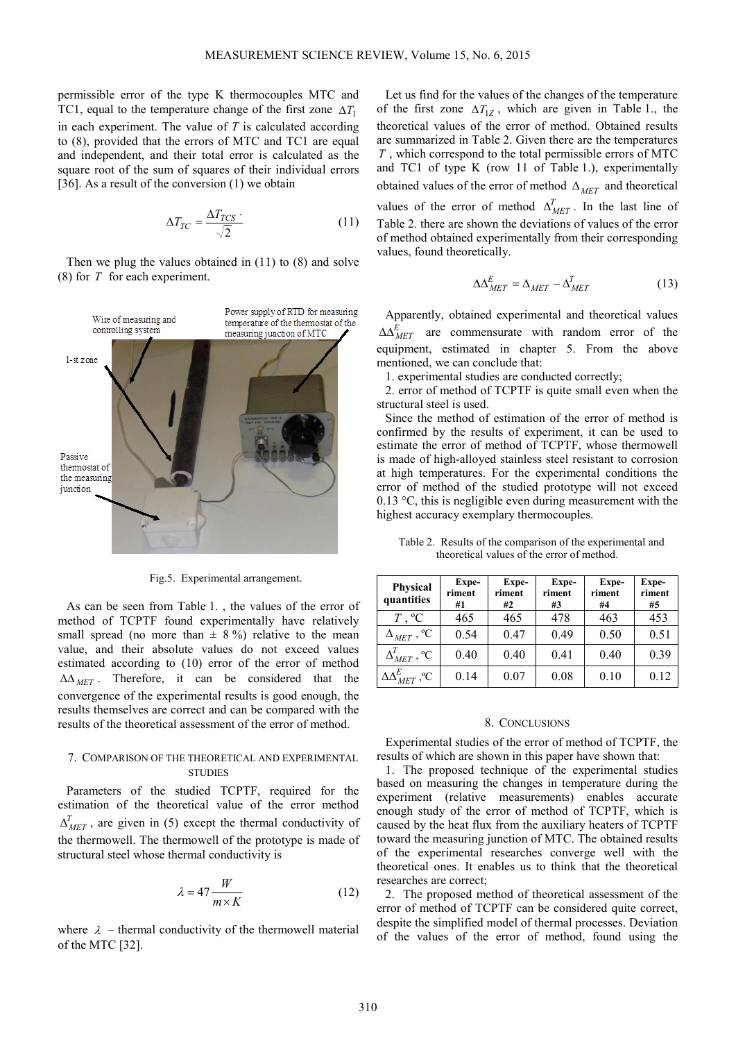permissible error of the type K thermocouples MTC and TC1, equal to the temperature change of the first zone  $\Delta T_1$ in each experiment. The value of *T* is calculated according to (8), provided that the errors of MTC and TC1 are equal and independent, and their total error is calculated as the square root of the sum of squares of their individual errors [36]. As a result of the conversion (1) we obtain

$$
\Delta T_{TC} = \frac{\Delta T_{TCS} \cdot}{\sqrt{2}} \tag{11}
$$

Then we plug the values obtained in (11) to (8) and solve (8) for *T* for each experiment.



Fig.5. Experimental arrangement.

As can be seen from Table 1. , the values of the error of method of TCPTF found experimentally have relatively small spread (no more than  $\pm$  8%) relative to the mean value, and their absolute values do not exceed values estimated according to (10) error of the error of method ∆∆ *MET* . Therefore, it can be considered that the convergence of the experimental results is good enough, the results themselves are correct and can be compared with the results of the theoretical assessment of the error of method.

# 7. COMPARISON OF THE THEORETICAL AND EXPERIMENTAL **STUDIES**

Parameters of the studied TCPTF, required for the estimation of the theoretical value of the error method  $\Delta_{MET}^T$ , are given in (5) except the thermal conductivity of the thermowell. The thermowell of the prototype is made of structural steel whose thermal conductivity is

$$
\lambda = 47 \frac{W}{m \times K} \tag{12}
$$

where  $\lambda$  – thermal conductivity of the thermowell material of the MTC [32].

Let us find for the values of the changes of the temperature of the first zone  $\Delta T_{1Z}$ , which are given in Table 1., the theoretical values of the error of method. Obtained results are summarized in Table 2. Given there are the temperatures *T* , which correspond to the total permissible errors of MTC and TC1 of type K (row 11 of Table 1.), experimentally obtained values of the error of method ∆*MET* and theoretical values of the error of method  $\Delta_{MET}^T$ . In the last line of Table 2. there are shown the deviations of values of the error of method obtained experimentally from their corresponding values, found theoretically.

$$
\Delta \Delta_{MET}^E = \Delta_{MET} - \Delta_{MET}^T \tag{13}
$$

Apparently, obtained experimental and theoretical values  $\Delta \Delta_{MET}^{E}$  are commensurate with random error of the equipment, estimated in chapter 5. From the above mentioned, we can conclude that:

1. experimental studies are conducted correctly;

2. error of method of TCPTF is quite small even when the structural steel is used.

Since the method of estimation of the error of method is confirmed by the results of experiment, it can be used to estimate the error of method of TCPTF, whose thermowell is made of high-alloyed stainless steel resistant to corrosion at high temperatures. For the experimental conditions the error of method of the studied prototype will not exceed 0.13 °C, this is negligible even during measurement with the highest accuracy exemplary thermocouples.

Table 2. Results of the comparison of the experimental and theoretical values of the error of method.

| Physical<br>quantities          | Expe-<br>riment<br>#1 | Expe-<br>riment<br>#2 | Expe-<br>riment<br>#3 | Expe-<br>riment<br>#4 | Expe-<br>riment<br>#5 |
|---------------------------------|-----------------------|-----------------------|-----------------------|-----------------------|-----------------------|
| $T$ , ${}^{\circ}C$             | 465                   | 465                   | 478                   | 463                   | 453                   |
| $\Delta_{MET}$ , <sup>o</sup> C | 0.54                  | 0.47                  | 0.49                  | 0.50                  | 0.51                  |
| $\Delta_{MET}^T$ , °C           | 0.40                  | 0.40                  | 0.41                  | 0.40                  | 0.39                  |
| $\Delta\Delta_{MET}^E$ , °C     | 0.14                  | 0.07                  | 0.08                  | 0.10                  | 0.12                  |

#### 8. CONCLUSIONS

Experimental studies of the error of method of TCPTF, the results of which are shown in this paper have shown that:

1. The proposed technique of the experimental studies based on measuring the changes in temperature during the experiment (relative measurements) enables accurate enough study of the error of method of TCPTF, which is caused by the heat flux from the auxiliary heaters of TCPTF toward the measuring junction of MTC. The obtained results of the experimental researches converge well with the theoretical ones. It enables us to think that the theoretical researches are correct;

2. The proposed method of theoretical assessment of the error of method of TCPTF can be considered quite correct, despite the simplified model of thermal processes. Deviation of the values of the error of method, found using the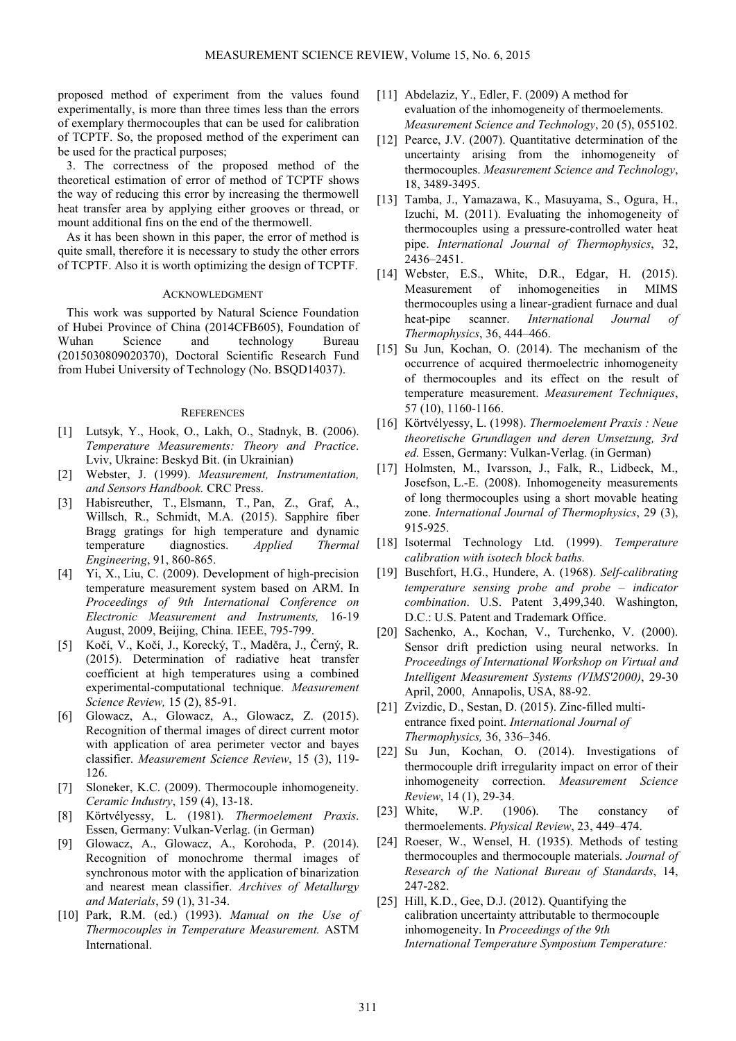proposed method of experiment from the values found experimentally, is more than three times less than the errors of exemplary thermocouples that can be used for calibration of TCPTF. So, the proposed method of the experiment can be used for the practical purposes;

3. The correctness of the proposed method of the theoretical estimation of error of method of TCPTF shows the way of reducing this error by increasing the thermowell heat transfer area by applying either grooves or thread, or mount additional fins on the end of the thermowell.

As it has been shown in this paper, the error of method is quite small, therefore it is necessary to study the other errors of TCPTF. Also it is worth optimizing the design of TCPTF.

#### ACKNOWLEDGMENT

This work was supported by Natural Science Foundation of Hubei Province of China (2014CFB605), Foundation of Wuhan Science and technology Bureau (2015030809020370), Doctoral Scientific Research Fund from Hubei University of Technology (No. BSQD14037).

#### **REFERENCES**

- [1] Lutsyk, Y., Hook, O., Lakh, O., Stadnyk, B. (2006). *Temperature Measurements: Theory and Practice*. Lviv, Ukraine: Beskyd Bit. (in Ukrainian)
- [2] Webster, J. (1999). *Measurement, Instrumentation, and Sensors Handbook.* CRC Press.
- [3] Habisreuther, T., Elsmann, T., Pan, Z., Graf, A., Willsch, R., Schmidt, M.A. (2015). Sapphire fiber Bragg gratings for high temperature and dynamic temperature diagnostics. *Applied Thermal Engineering*, 91, 860-865.
- [4] Yi, X., Liu, C. (2009). Development of high-precision temperature measurement system based on ARM. In *Proceedings of 9th International Conference on Electronic Measurement and Instruments,* 16-19 August, 2009, Beijing, China. IEEE, 795-799.
- [5] Kočí, V., Kočí, J., Korecký, T., Maděra, J., Černý, R. (2015). Determination of radiative heat transfer coefficient at high temperatures using a combined experimental-computational technique. *Measurement Science Review,* 15 (2), 85-91.
- [6] Glowacz, A., Glowacz, A., Glowacz, Z. (2015). Recognition of thermal images of direct current motor with application of area perimeter vector and bayes classifier. *Measurement Science Review*, 15 (3), 119- 126.
- [7] Sloneker, K.C. (2009). Thermocouple inhomogeneity. *Ceramic Industry*, 159 (4), 13-18.
- [8] Körtvélyessy, L. (1981). *Thermoelement Praxis*. Essen, Germany: Vulkan-Verlag. (in German)
- [9] Glowacz, A., Glowacz, A., Korohoda, P. (2014). Recognition of monochrome thermal images of synchronous motor with the application of binarization and nearest mean classifier. *Archives of Metallurgy and Materials*, 59 (1), 31-34.
- [10] Park, R.M. (ed.) (1993). *Manual on the Use of Thermocouples in Temperature Measurement.* ASTM International.
- [11] Abdelaziz, Y., Edler, F. (2009) A method for evaluation of the inhomogeneity of thermoelements. *Measurement Science and Technology*, 20 (5), 055102.
- [12] Pearce, J.V. (2007). Quantitative determination of the uncertainty arising from the inhomogeneity of thermocouples. *Measurement Science and Technology*, 18, 3489-3495.
- [13] Tamba, J., Yamazawa, K., Masuyama, S., Ogura, H., Izuchi, M. (2011). Evaluating the inhomogeneity of thermocouples using a pressure-controlled water heat pipe. *International Journal of Thermophysics*, 32, 2436–2451.
- [14] Webster, E.S., White, D.R., Edgar, H. (2015). Measurement of inhomogeneities in MIMS thermocouples using a linear-gradient furnace and dual heat-pipe scanner. *International Journal of Thermophysics*, 36, 444–466.
- [15] Su Jun, Kochan, O. (2014). The mechanism of the occurrence of acquired thermoelectric inhomogeneity of thermocouples and its effect on the result of temperature measurement. *Measurement Techniques*, 57 (10), 1160-1166.
- [16] Körtvélyessy, L. (1998). *Thermoelement Praxis : Neue theoretische Grundlagen und deren Umsetzung, 3rd ed.* Essen, Germany: Vulkan-Verlag. (in German)
- [17] Holmsten, M., Ivarsson, J., Falk, R., Lidbeck, M., Josefson, L.-E. (2008). Inhomogeneity measurements of long thermocouples using a short movable heating zone. *International Journal of Thermophysics*, 29 (3), 915-925.
- [18] Isotermal Technology Ltd. (1999). *Temperature calibration with isotech block baths.*
- [19] Buschfort, H.G., Hundere, A. (1968). *Self-calibrating temperature sensing probe and probe – indicator combination*. U.S. Patent 3,499,340. Washington, D.C.: U.S. Patent and Trademark Office.
- [20] Sachenko, A., Kochan, V., Turchenko, V. (2000). Sensor drift prediction using neural networks. In *Proceedings of International Workshop on Virtual and Intelligent Measurement Systems (VIMS'2000)*, 29-30 April, 2000, Annapolis, USA, 88-92.
- [21] Zvizdic, D., Sestan, D. (2015). Zinc-filled multientrance fixed point. *International Journal of Thermophysics,* 36, 336–346.
- [22] Su Jun, Kochan, O. (2014). Investigations of thermocouple drift irregularity impact on error of their inhomogeneity correction. *Measurement Science Review*, 14 (1), 29-34.
- [23] White, W.P. (1906). The constancy of thermoelements. *Physical Review*, 23, 449–474.
- [24] Roeser, W., Wensel, H. (1935). Methods of testing thermocouples and thermocouple materials. *Journal of Research of the National Bureau of Standards*, 14, 247-282.
- [25] Hill, K.D., Gee, D.J. (2012). Quantifying the calibration uncertainty attributable to thermocouple inhomogeneity. In *Proceedings of the 9th International Temperature Symposium Temperature:*